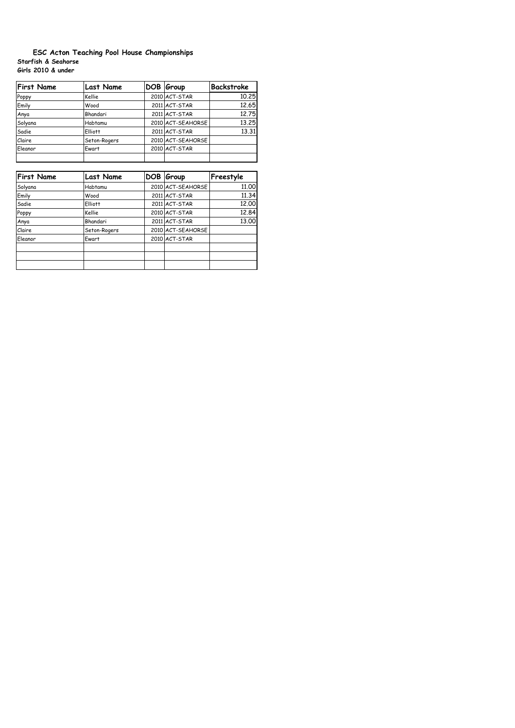## **Starfish & Seahorse Girls 2010 & under ESC Acton Teaching Pool House Championships**

| <b>First Name</b> | <b>Last Name</b> | DOB Group         | <b>Backstroke</b> |
|-------------------|------------------|-------------------|-------------------|
| Poppy             | Kellie           | 2010 ACT-STAR     | 10.25             |
| Emily             | Wood             | 2011 ACT-STAR     | 12.65             |
| Anya              | Bhandari         | 2011 ACT-STAR     | 12.75             |
| Solyana           | Habtamu          | 2010 ACT-SEAHORSE | 13.25             |
| Sadie             | <b>Elliott</b>   | 2011 ACT-STAR     | 13.31             |
| Claire            | Seton-Rogers     | 2010 ACT-SEAHORSE |                   |
| Eleanor           | Ewart            | 2010 ACT-STAR     |                   |
|                   |                  |                   |                   |

| <b>First Name</b> | <b>Last Name</b> | DOB Group         | Freestyle |
|-------------------|------------------|-------------------|-----------|
| Solyana           | Habtamu          | 2010 ACT-SEAHORSE | 11,00     |
| Emily             | Wood             | 2011 ACT-STAR     | 11,34     |
| Sadie             | Elliott          | 2011 ACT-STAR     | 12,00     |
| Poppy             | Kellie           | 2010 ACT-STAR     | 12.84     |
| Anya              | Bhandari         | 2011 ACT-STAR     | 13.00     |
| Claire            | Seton-Rogers     | 2010 ACT-SEAHORSE |           |
| Eleanor           | Ewart            | 2010 ACT-STAR     |           |
|                   |                  |                   |           |
|                   |                  |                   |           |
|                   |                  |                   |           |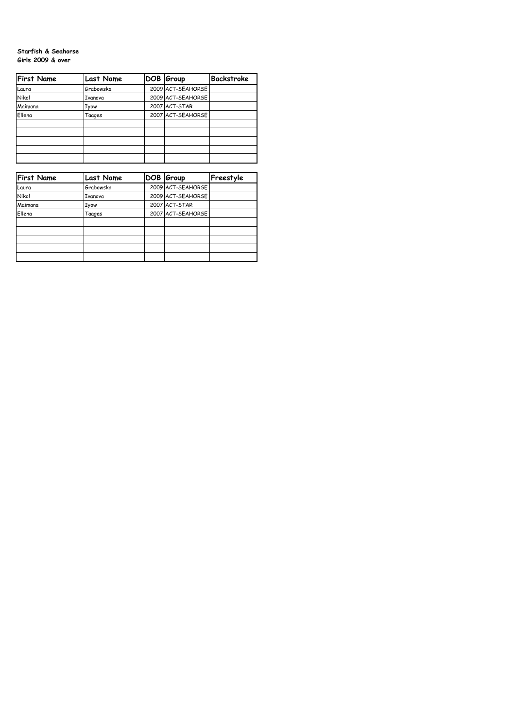## **Starfish & Seahorse Girls 2009 & over**

| <b>First Name</b> | <b>Last Name</b> | DOB Group         | <b>Backstroke</b> |
|-------------------|------------------|-------------------|-------------------|
| Laura             | Grabowska        | 2009 ACT-SEAHORSE |                   |
| Nikol             | Ivanova          | 2009 ACT-SEAHORSE |                   |
| Maimana           | Iyow             | 2007 ACT-STAR     |                   |
| Ellena            | Taages           | 2007 ACT-SEAHORSE |                   |
|                   |                  |                   |                   |
|                   |                  |                   |                   |
|                   |                  |                   |                   |
|                   |                  |                   |                   |
|                   |                  |                   |                   |

| <b>First Name</b> | <b>Last Name</b> | DOB Group         | Freestyle |
|-------------------|------------------|-------------------|-----------|
| Laura             | Grabowska        | 2009 ACT-SEAHORSE |           |
| Nikol             | Ivanova          | 2009 ACT-SEAHORSE |           |
| Maimana           | Iyow             | 2007 ACT-STAR     |           |
| Ellena            | Taages           | 2007 ACT-SEAHORSE |           |
|                   |                  |                   |           |
|                   |                  |                   |           |
|                   |                  |                   |           |
|                   |                  |                   |           |
|                   |                  |                   |           |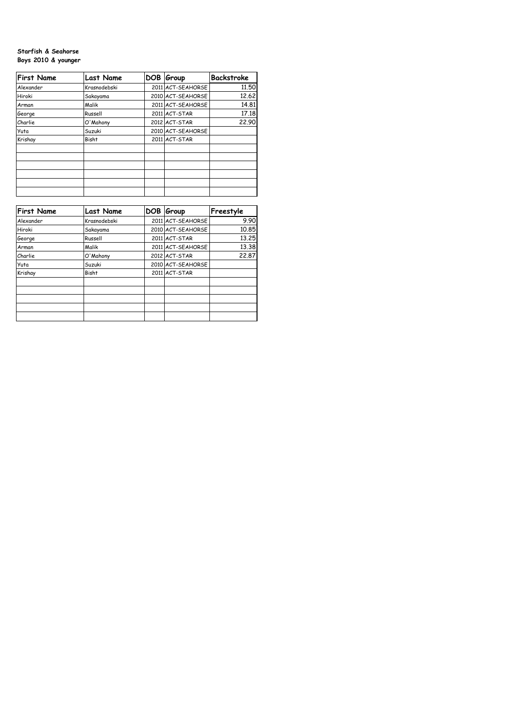## **Starfish & Seahorse Boys 2010 & younger**

| <b>First Name</b> | <b>Last Name</b> | DOB Group         | Backstroke |
|-------------------|------------------|-------------------|------------|
| Alexander         | Krasnodebski     | 2011 ACT-SEAHORSE | 11.50      |
| Hiroki            | Sakayama         | 2010 ACT-SEAHORSE | 12.62      |
| Arman             | Malik            | 2011 ACT-SEAHORSE | 14.81      |
| George            | Russell          | 2011 ACT-STAR     | 17.18      |
| Charlie           | O'Mahony         | 2012 ACT-STAR     | 22.90      |
| Yuta              | Suzuki           | 2010 ACT-SEAHORSE |            |
| Krishay           | <b>Bisht</b>     | 2011 ACT-STAR     |            |
|                   |                  |                   |            |
|                   |                  |                   |            |
|                   |                  |                   |            |
|                   |                  |                   |            |
|                   |                  |                   |            |
|                   |                  |                   |            |

| <b>First Name</b> | <b>Last Name</b> | <b>DOB</b> | Group             | Freestyle |
|-------------------|------------------|------------|-------------------|-----------|
| Alexander         | Krasnodebski     |            | 2011 ACT-SEAHORSE | 9.90      |
| Hiroki            | Sakayama         |            | 2010 ACT-SEAHORSE | 10.85     |
| George            | Russell          |            | 2011 ACT-STAR     | 13.25     |
| Arman             | Malik            |            | 2011 ACT-SEAHORSE | 13.38     |
| Charlie           | O'Mahony         |            | 2012 ACT-STAR     | 22.87     |
| Yuta              | Suzuki           |            | 2010 ACT-SEAHORSE |           |
| Krishay           | <b>Bisht</b>     |            | 2011 ACT-STAR     |           |
|                   |                  |            |                   |           |
|                   |                  |            |                   |           |
|                   |                  |            |                   |           |
|                   |                  |            |                   |           |
|                   |                  |            |                   |           |